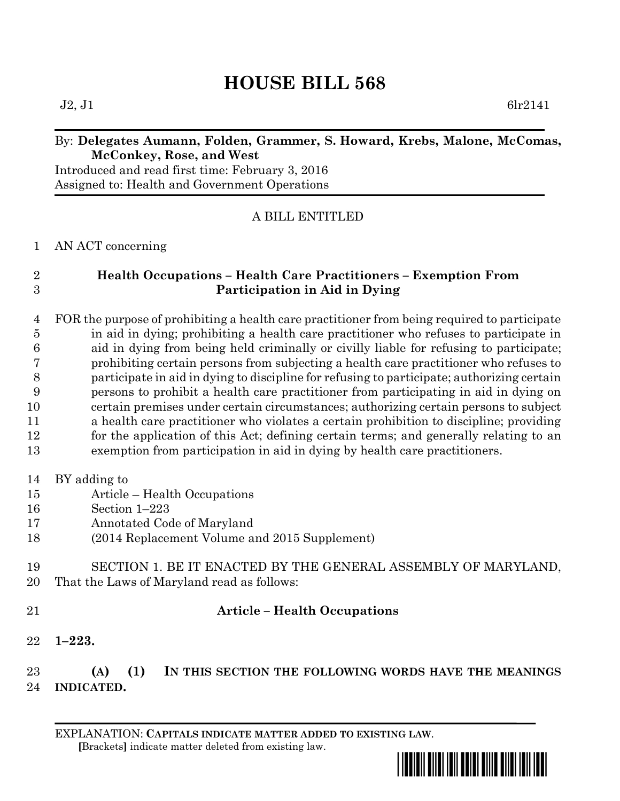# **HOUSE BILL 568**

 $J2, J1$  6lr2141

#### By: **Delegates Aumann, Folden, Grammer, S. Howard, Krebs, Malone, McComas, McConkey, Rose, and West**

Introduced and read first time: February 3, 2016 Assigned to: Health and Government Operations

### A BILL ENTITLED

AN ACT concerning

## **Health Occupations – Health Care Practitioners – Exemption From Participation in Aid in Dying**

 FOR the purpose of prohibiting a health care practitioner from being required to participate in aid in dying; prohibiting a health care practitioner who refuses to participate in aid in dying from being held criminally or civilly liable for refusing to participate; prohibiting certain persons from subjecting a health care practitioner who refuses to participate in aid in dying to discipline for refusing to participate; authorizing certain persons to prohibit a health care practitioner from participating in aid in dying on certain premises under certain circumstances; authorizing certain persons to subject a health care practitioner who violates a certain prohibition to discipline; providing for the application of this Act; defining certain terms; and generally relating to an exemption from participation in aid in dying by health care practitioners.

- BY adding to
- Article Health Occupations
- Section 1–223
- Annotated Code of Maryland
- (2014 Replacement Volume and 2015 Supplement)
- SECTION 1. BE IT ENACTED BY THE GENERAL ASSEMBLY OF MARYLAND, That the Laws of Maryland read as follows:
- 

#### **Article – Health Occupations**

**1–223.**

 **(A) (1) IN THIS SECTION THE FOLLOWING WORDS HAVE THE MEANINGS INDICATED.**

EXPLANATION: **CAPITALS INDICATE MATTER ADDED TO EXISTING LAW**.  **[**Brackets**]** indicate matter deleted from existing law.

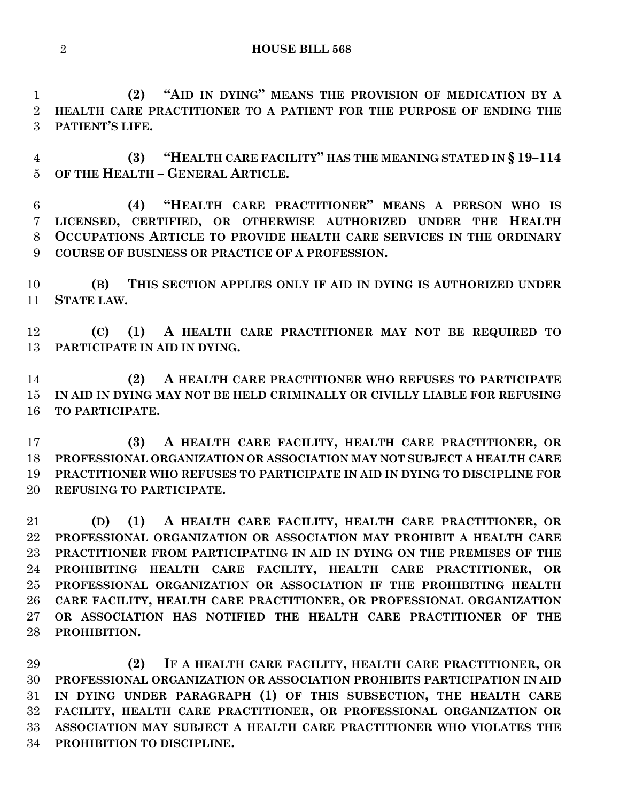**HOUSE BILL 568**

 **(2) "AID IN DYING" MEANS THE PROVISION OF MEDICATION BY A HEALTH CARE PRACTITIONER TO A PATIENT FOR THE PURPOSE OF ENDING THE PATIENT'S LIFE.**

 **(3) "HEALTH CARE FACILITY" HAS THE MEANING STATED IN § 19–114 OF THE HEALTH – GENERAL ARTICLE.**

 **(4) "HEALTH CARE PRACTITIONER" MEANS A PERSON WHO IS LICENSED, CERTIFIED, OR OTHERWISE AUTHORIZED UNDER THE HEALTH OCCUPATIONS ARTICLE TO PROVIDE HEALTH CARE SERVICES IN THE ORDINARY COURSE OF BUSINESS OR PRACTICE OF A PROFESSION.**

 **(B) THIS SECTION APPLIES ONLY IF AID IN DYING IS AUTHORIZED UNDER STATE LAW.**

 **(C) (1) A HEALTH CARE PRACTITIONER MAY NOT BE REQUIRED TO PARTICIPATE IN AID IN DYING.**

 **(2) A HEALTH CARE PRACTITIONER WHO REFUSES TO PARTICIPATE IN AID IN DYING MAY NOT BE HELD CRIMINALLY OR CIVILLY LIABLE FOR REFUSING TO PARTICIPATE.**

 **(3) A HEALTH CARE FACILITY, HEALTH CARE PRACTITIONER, OR PROFESSIONAL ORGANIZATION OR ASSOCIATION MAY NOT SUBJECT A HEALTH CARE PRACTITIONER WHO REFUSES TO PARTICIPATE IN AID IN DYING TO DISCIPLINE FOR REFUSING TO PARTICIPATE.**

 **(D) (1) A HEALTH CARE FACILITY, HEALTH CARE PRACTITIONER, OR PROFESSIONAL ORGANIZATION OR ASSOCIATION MAY PROHIBIT A HEALTH CARE PRACTITIONER FROM PARTICIPATING IN AID IN DYING ON THE PREMISES OF THE PROHIBITING HEALTH CARE FACILITY, HEALTH CARE PRACTITIONER, OR PROFESSIONAL ORGANIZATION OR ASSOCIATION IF THE PROHIBITING HEALTH CARE FACILITY, HEALTH CARE PRACTITIONER, OR PROFESSIONAL ORGANIZATION OR ASSOCIATION HAS NOTIFIED THE HEALTH CARE PRACTITIONER OF THE PROHIBITION.**

 **(2) IF A HEALTH CARE FACILITY, HEALTH CARE PRACTITIONER, OR PROFESSIONAL ORGANIZATION OR ASSOCIATION PROHIBITS PARTICIPATION IN AID IN DYING UNDER PARAGRAPH (1) OF THIS SUBSECTION, THE HEALTH CARE FACILITY, HEALTH CARE PRACTITIONER, OR PROFESSIONAL ORGANIZATION OR ASSOCIATION MAY SUBJECT A HEALTH CARE PRACTITIONER WHO VIOLATES THE PROHIBITION TO DISCIPLINE.**